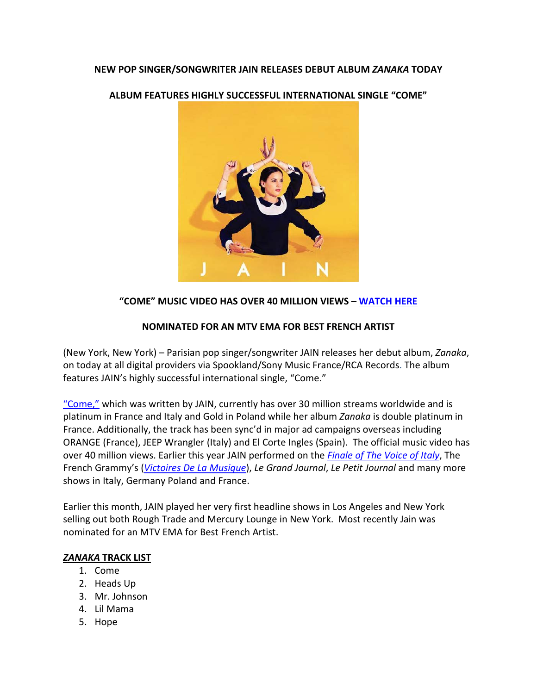## **NEW POP SINGER/SONGWRITER JAIN RELEASES DEBUT ALBUM** *ZANAKA* **TODAY**

**ALBUM FEATURES HIGHLY SUCCESSFUL INTERNATIONAL SINGLE "COME"**



# **"COME" MUSIC VIDEO HAS OVER 40 MILLION VIEWS – [WATCH HERE](https://www.youtube.com/watch?v=KDXOzr0GoA4)**

### **NOMINATED FOR AN MTV EMA FOR BEST FRENCH ARTIST**

(New York, New York) – Parisian pop singer/songwriter JAIN releases her debut album, *Zanaka*, on today at all digital providers via Spookland/Sony Music France/RCA Records. The album features JAIN's highly successful international single, "Come."

["Come,"](https://www.youtube.com/watch?v=KDXOzr0GoA4) which was written by JAIN, currently has over 30 million streams worldwide and is platinum in France and Italy and Gold in Poland while her album *Zanaka* is double platinum in France. Additionally, the track has been sync'd in major ad campaigns overseas including ORANGE (France), JEEP Wrangler (Italy) and El Corte Ingles (Spain). The official music video has over 40 million views. Earlier this year JAIN performed on the *[Finale of The Voice of Italy](http://www.thevoiceofitaly.rai.it/dl/siti/media/Jain-ospite-a-The-Voice-canta-quotComequot-2a853c1c-f86e-49ed-9e1e-9ad59ddb70ec.html)*, The French Grammy's (*[Victoires De La Musique](https://www.youtube.com/watch?v=ZdOlnw7z46w)*), *Le Grand Journal*, *Le Petit Journal* and many more shows in Italy, Germany Poland and France.

Earlier this month, JAIN played her very first headline shows in Los Angeles and New York selling out both Rough Trade and Mercury Lounge in New York. Most recently Jain was nominated for an MTV EMA for Best French Artist.

### *ZANAKA* **TRACK LIST**

- 1. Come
- 2. Heads Up
- 3. Mr. Johnson
- 4. Lil Mama
- 5. Hope